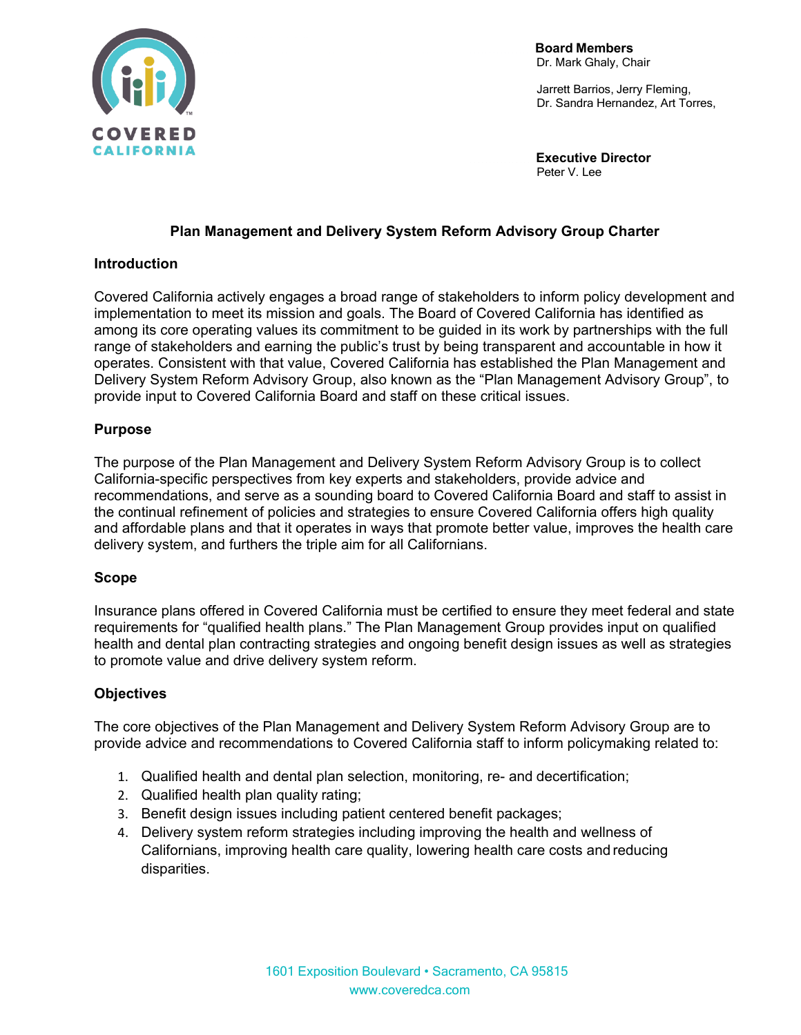

 **Board Members**  Dr. Mark Ghaly, Chair

 Jarrett Barrios, Jerry Fleming, Dr. Sandra Hernandez, Art Torres,

 **Executive Director**  Peter V. Lee

# **Plan Management and Delivery System Reform Advisory Group Charter**

# **Introduction**

Covered California actively engages a broad range of stakeholders to inform policy development and implementation to meet its mission and goals. The Board of Covered California has identified as among its core operating values its commitment to be guided in its work by partnerships with the full range of stakeholders and earning the public's trust by being transparent and accountable in how it operates. Consistent with that value, Covered California has established the Plan Management and Delivery System Reform Advisory Group, also known as the "Plan Management Advisory Group", to provide input to Covered California Board and staff on these critical issues.

# **Purpose**

The purpose of the Plan Management and Delivery System Reform Advisory Group is to collect California-specific perspectives from key experts and stakeholders, provide advice and recommendations, and serve as a sounding board to Covered California Board and staff to assist in the continual refinement of policies and strategies to ensure Covered California offers high quality and affordable plans and that it operates in ways that promote better value, improves the health care delivery system, and furthers the triple aim for all Californians.

#### **Scope**

Insurance plans offered in Covered California must be certified to ensure they meet federal and state requirements for "qualified health plans." The Plan Management Group provides input on qualified health and dental plan contracting strategies and ongoing benefit design issues as well as strategies to promote value and drive delivery system reform.

# **Objectives**

The core objectives of the Plan Management and Delivery System Reform Advisory Group are to provide advice and recommendations to Covered California staff to inform policymaking related to:

- 1. Qualified health and dental plan selection, monitoring, re- and decertification;
- 2. Qualified health plan quality rating;
- 3. Benefit design issues including patient centered benefit packages;
- 4. Delivery system reform strategies including improving the health and wellness of Californians, improving health care quality, lowering health care costs and reducing disparities.